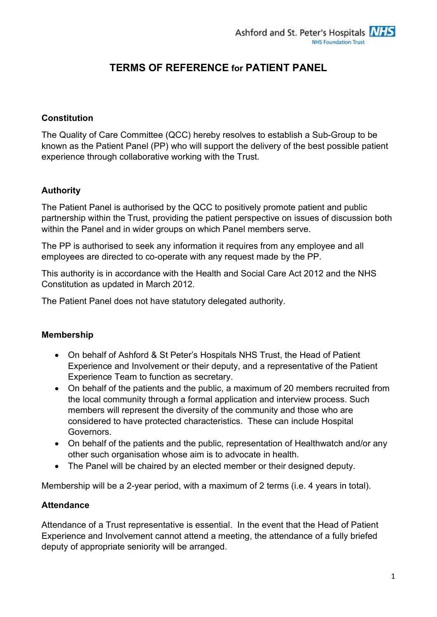# TERMS OF REFERENCE for PATIENT PANEL

## **Constitution**

The Quality of Care Committee (QCC) hereby resolves to establish a Sub-Group to be known as the Patient Panel (PP) who will support the delivery of the best possible patient experience through collaborative working with the Trust.

#### Authority

The Patient Panel is authorised by the QCC to positively promote patient and public partnership within the Trust, providing the patient perspective on issues of discussion both within the Panel and in wider groups on which Panel members serve.

The PP is authorised to seek any information it requires from any employee and all employees are directed to co-operate with any request made by the PP.

This authority is in accordance with the Health and Social Care Act 2012 and the NHS Constitution as updated in March 2012.

The Patient Panel does not have statutory delegated authority.

#### Membership

- On behalf of Ashford & St Peter's Hospitals NHS Trust, the Head of Patient Experience and Involvement or their deputy, and a representative of the Patient Experience Team to function as secretary.
- On behalf of the patients and the public, a maximum of 20 members recruited from the local community through a formal application and interview process. Such members will represent the diversity of the community and those who are considered to have protected characteristics. These can include Hospital Governors.
- On behalf of the patients and the public, representation of Healthwatch and/or any other such organisation whose aim is to advocate in health.
- The Panel will be chaired by an elected member or their designed deputy.

Membership will be a 2-year period, with a maximum of 2 terms (i.e. 4 years in total).

#### **Attendance**

Attendance of a Trust representative is essential. In the event that the Head of Patient Experience and Involvement cannot attend a meeting, the attendance of a fully briefed deputy of appropriate seniority will be arranged.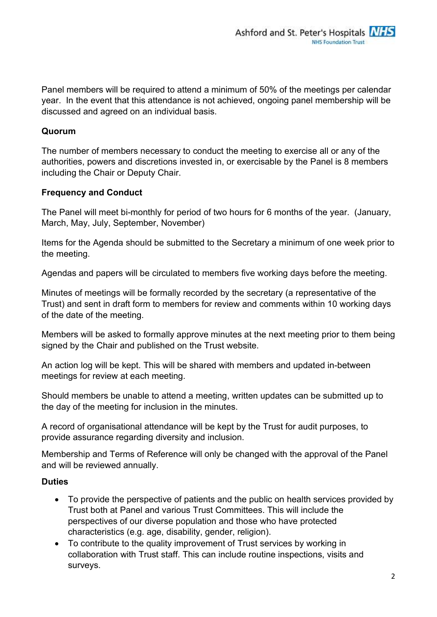Panel members will be required to attend a minimum of 50% of the meetings per calendar year. In the event that this attendance is not achieved, ongoing panel membership will be discussed and agreed on an individual basis.

## Quorum

The number of members necessary to conduct the meeting to exercise all or any of the authorities, powers and discretions invested in, or exercisable by the Panel is 8 members including the Chair or Deputy Chair.

## Frequency and Conduct

The Panel will meet bi-monthly for period of two hours for 6 months of the year. (January, March, May, July, September, November)

Items for the Agenda should be submitted to the Secretary a minimum of one week prior to the meeting.

Agendas and papers will be circulated to members five working days before the meeting.

Minutes of meetings will be formally recorded by the secretary (a representative of the Trust) and sent in draft form to members for review and comments within 10 working days of the date of the meeting.

Members will be asked to formally approve minutes at the next meeting prior to them being signed by the Chair and published on the Trust website.

An action log will be kept. This will be shared with members and updated in-between meetings for review at each meeting.

Should members be unable to attend a meeting, written updates can be submitted up to the day of the meeting for inclusion in the minutes.

A record of organisational attendance will be kept by the Trust for audit purposes, to provide assurance regarding diversity and inclusion.

Membership and Terms of Reference will only be changed with the approval of the Panel and will be reviewed annually.

#### **Duties**

- To provide the perspective of patients and the public on health services provided by Trust both at Panel and various Trust Committees. This will include the perspectives of our diverse population and those who have protected characteristics (e.g. age, disability, gender, religion).
- To contribute to the quality improvement of Trust services by working in collaboration with Trust staff. This can include routine inspections, visits and surveys.